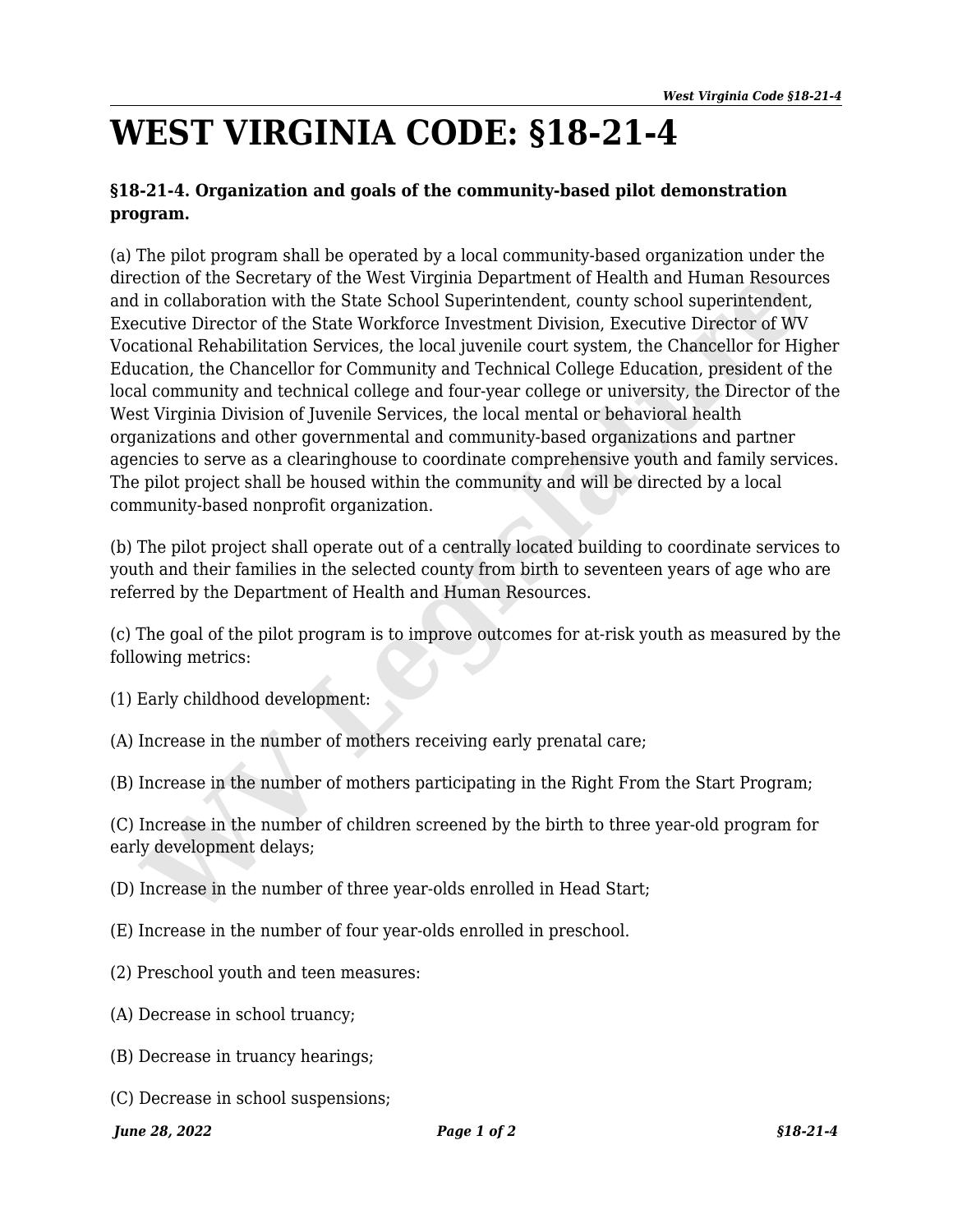## **WEST VIRGINIA CODE: §18-21-4**

## **§18-21-4. Organization and goals of the community-based pilot demonstration program.**

(a) The pilot program shall be operated by a local community-based organization under the direction of the Secretary of the West Virginia Department of Health and Human Resources and in collaboration with the State School Superintendent, county school superintendent, Executive Director of the State Workforce Investment Division, Executive Director of WV Vocational Rehabilitation Services, the local juvenile court system, the Chancellor for Higher Education, the Chancellor for Community and Technical College Education, president of the local community and technical college and four-year college or university, the Director of the West Virginia Division of Juvenile Services, the local mental or behavioral health organizations and other governmental and community-based organizations and partner agencies to serve as a clearinghouse to coordinate comprehensive youth and family services. The pilot project shall be housed within the community and will be directed by a local community-based nonprofit organization. ich of the Secretary of the West Virginia Department of Health and Human Resourt<br>in collaboration with the State School Superintendent, county school superintendent<br>in collaboration with the State Workforce Investment Divi

(b) The pilot project shall operate out of a centrally located building to coordinate services to youth and their families in the selected county from birth to seventeen years of age who are referred by the Department of Health and Human Resources.

(c) The goal of the pilot program is to improve outcomes for at-risk youth as measured by the following metrics:

- (1) Early childhood development:
- (A) Increase in the number of mothers receiving early prenatal care;
- (B) Increase in the number of mothers participating in the Right From the Start Program;

(C) Increase in the number of children screened by the birth to three year-old program for early development delays;

- (D) Increase in the number of three year-olds enrolled in Head Start;
- (E) Increase in the number of four year-olds enrolled in preschool.
- (2) Preschool youth and teen measures:
- (A) Decrease in school truancy;
- (B) Decrease in truancy hearings;
- (C) Decrease in school suspensions;